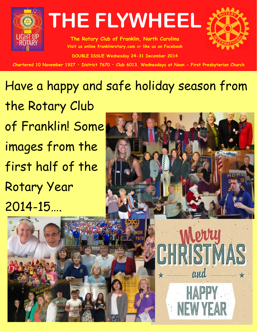

**The Rotary Club of Franklin, North Carolina Visit us online franklinrotary.com or like us on Facebook DOUBLE ISSUE Wednesday 24-31 December 2014**



Chartered 10 November 1927 • District 7670 • Club 6013. Wednesdays at Noon - First Presbyterian Church

## Have a happy and safe holiday season from the Rotary Club of Franklin! Some images from the first half of the Rotary Year

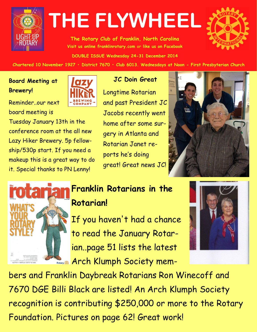

**The Rotary Club of Franklin, North Carolina Visit us online franklinrotary.com or like us on Facebook DOUBLE ISSUE Wednesday 24-31 December 2014**



Chartered 10 November 1927 • District 7670 • Club 6013. Wednesdays at Noon - First Presbyterian Church

### **Board Meeting at Brewery!**

Reminder..our next board meeting is

Tuesday January 13th in the

conference room at the all new

Lazy Hiker Brewery. 5p fellow-

ship/530p start. If you need a

it. Special thanks to PN Lenny!

makeup this is a great way to do



### **JC Doin Great**

Longtime Rotarian and past President JC Jacobs recently went home after some surgery in Atlanta and Rotarian Janet reports he's doing great! Great news JC!





## **Franklin Rotarians in the Rotarian!**

If you haven't had a chance to read the January Rotarian..page 51 lists the latest Retary **Arch Klumph Society mem-**



bers and Franklin Daybreak Rotarians Ron Winecoff and 7670 DGE Billi Black are listed! An Arch Klumph Society recognition is contributing \$250,000 or more to the Rotary Foundation. Pictures on page 62! Great work!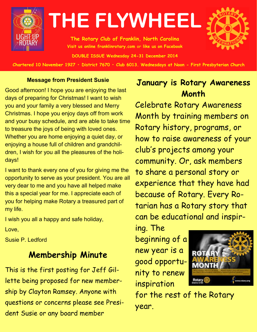

**The Rotary Club of Franklin, North Carolina Visit us online franklinrotary.com or like us on Facebook DOUBLE ISSUE Wednesday 24-31 December 2014**



Chartered 10 November 1927 • District 7670 • Club 6013. Wednesdays at Noon - First Presbyterian Church

#### **Message from President Susie**

Good afternoon! I hope you are enjoying the last days of preparing for Christmas! I want to wish you and your family a very blessed and Merry Christmas. I hope you enjoy days off from work and your busy schedule, and are able to take time to treasure the joys of being with loved ones. Whether you are home enjoying a quiet day, or enjoying a house full of children and grandchildren, I wish for you all the pleasures of the holidays!

I want to thank every one of you for giving me the opportunity to serve as your president. You are all very dear to me and you have all helped make this a special year for me. I appreciate each of you for helping make Rotary a treasured part of my life.

I wish you all a happy and safe holiday,

Love,

Susie P. Ledford

## **Membership Minute**

This is the first posting for Jeff Gillette being proposed for new membership by Clayton Ramsey. Anyone with questions or concerns please see President Susie or any board member

## **January is Rotary Awareness Month**

Celebrate Rotary Awareness Month by training members on Rotary history, programs, or how to raise awareness of your club's projects among your community. Or, ask members to share a personal story or experience that they have had because of Rotary. Every Rotarian has a Rotary story that can be educational and inspir-

ing. The beginning of a new year is a good opportunity to renew inspiration



for the rest of the Rotary year.